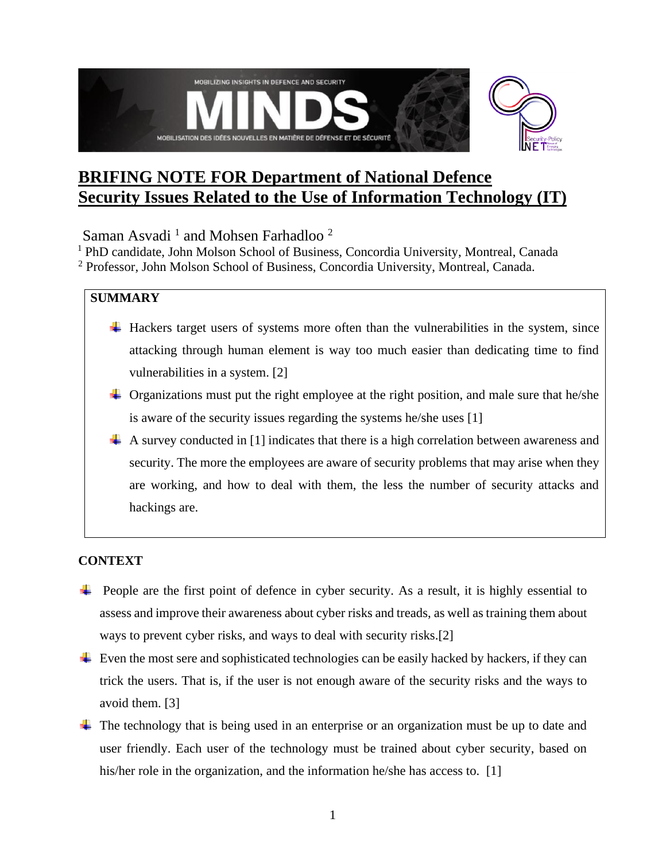

# **BRIFING NOTE FOR Department of National Defence Security Issues Related to the Use of Information Technology (IT)**

Saman Asvadi<sup>1</sup> and Mohsen Farhadloo<sup>2</sup>

<sup>1</sup> PhD candidate, John Molson School of Business, Concordia University, Montreal, Canada <sup>2</sup> Professor, John Molson School of Business, Concordia University, Montreal, Canada.

## **SUMMARY**

- $\overline{\phantom{a}}$  Hackers target users of systems more often than the vulnerabilities in the system, since attacking through human element is way too much easier than dedicating time to find vulnerabilities in a system. [2]
- $\pm$  Organizations must put the right employee at the right position, and male sure that he/she is aware of the security issues regarding the systems he/she uses [1]
- $\perp$  A survey conducted in [1] indicates that there is a high correlation between awareness and security. The more the employees are aware of security problems that may arise when they are working, and how to deal with them, the less the number of security attacks and hackings are.

## **CONTEXT**

- $\ddot{\phantom{1}}$  People are the first point of defence in cyber security. As a result, it is highly essential to assess and improve their awareness about cyber risks and treads, as well as training them about ways to prevent cyber risks, and ways to deal with security risks.[2]
- $\ddot{\phantom{1}}\phantom{1}$  Even the most sere and sophisticated technologies can be easily hacked by hackers, if they can trick the users. That is, if the user is not enough aware of the security risks and the ways to avoid them. [3]
- $\pm$  The technology that is being used in an enterprise or an organization must be up to date and user friendly. Each user of the technology must be trained about cyber security, based on his/her role in the organization, and the information he/she has access to. [1]